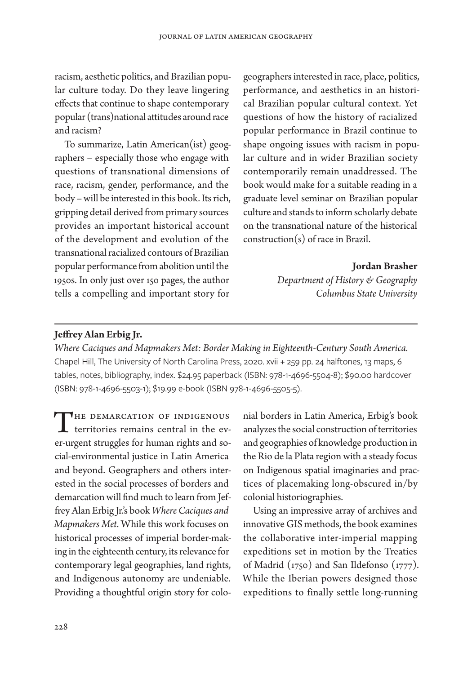racism, aesthetic politics, and Brazilian popular culture today. Do they leave lingering efects that continue to shape contemporary popular (trans)national atitudes around race and racism?

To summarize, Latin American(ist) geographers – especially those who engage with questions of transnational dimensions of race, racism, gender, performance, and the body – will be interested in this book. Its rich, gripping detail derived from primary sources provides an important historical account of the development and evolution of the transnational racialized contours of Brazilian popular performance from abolition until the 1950s. In only just over 150 pages, the author tells a compelling and important story for

geographers interested in race, place, politics, performance, and aesthetics in an historical Brazilian popular cultural context. Yet questions of how the history of racialized popular performance in Brazil continue to shape ongoing issues with racism in popular culture and in wider Brazilian society contemporarily remain unaddressed. The book would make for a suitable reading in a graduate level seminar on Brazilian popular culture and stands to inform scholarly debate on the transnational nature of the historical construction(s) of race in Brazil.

**Jordan Brasher**

*Department of History & Geography Columbus State University*

## **Jefrey Alan Erbig Jr.**

*Where Caciques and Mapmakers Met: Border Making in Eighteenth-Century South America.* Chapel Hill, The University of North Carolina Press, 2020. xvii + 259 pp. 24 halftones, 13 maps, 6 tables, notes, bibliography, index. \$24.95 paperback (ISBN: 978-1-4696-5504-8); \$90.00 hardcover (ISBN: 978-1-4696-5503-1); \$19.99 e-book (ISBN 978-1-4696-5505-5).

THE DEMARCATION OF INDIGENOUS<br>territories remains central in the ever-urgent struggles for human rights and social-environmental justice in Latin America and beyond. Geographers and others interested in the social processes of borders and demarcation will fnd much to learn from Jeffrey Alan Erbig Jr.'s book *Where Caciques and Mapmakers Met*. While this work focuses on historical processes of imperial border-making in the eighteenth century, its relevance for contemporary legal geographies, land rights, and Indigenous autonomy are undeniable. Providing a thoughtful origin story for colo-

nial borders in Latin America, Erbig's book analyzes the social construction of territories and geographies of knowledge production in the Rio de la Plata region with a steady focus on Indigenous spatial imaginaries and practices of placemaking long-obscured in/by colonial historiographies.

Using an impressive array of archives and innovative GIS methods, the book examines the collaborative inter-imperial mapping expeditions set in motion by the Treaties of Madrid (1750) and San Ildefonso (1777). While the Iberian powers designed those expeditions to finally settle long-running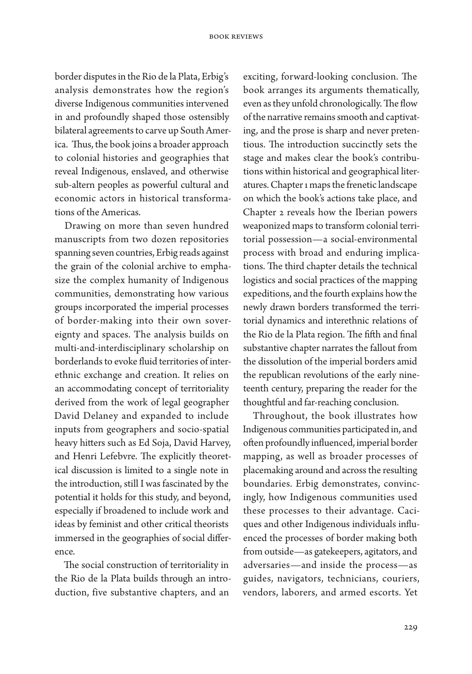border disputes in the Rio de la Plata, Erbig's analysis demonstrates how the region's diverse Indigenous communities intervened in and profoundly shaped those ostensibly bilateral agreements to carve up South America. Thus, the book joins a broader approach to colonial histories and geographies that reveal Indigenous, enslaved, and otherwise sub-altern peoples as powerful cultural and economic actors in historical transformations of the Americas.

Drawing on more than seven hundred manuscripts from two dozen repositories spanning seven countries, Erbig reads against the grain of the colonial archive to emphasize the complex humanity of Indigenous communities, demonstrating how various groups incorporated the imperial processes of border-making into their own sovereignty and spaces. The analysis builds on multi-and-interdisciplinary scholarship on borderlands to evoke fuid territories of interethnic exchange and creation. It relies on an accommodating concept of territoriality derived from the work of legal geographer David Delaney and expanded to include inputs from geographers and socio-spatial heavy hiters such as Ed Soja, David Harvey, and Henri Lefebvre. The explicitly theoretical discussion is limited to a single note in the introduction, still I was fascinated by the potential it holds for this study, and beyond, especially if broadened to include work and ideas by feminist and other critical theorists immersed in the geographies of social diference.

The social construction of territoriality in the Rio de la Plata builds through an introduction, five substantive chapters, and an

exciting, forward-looking conclusion. The book arranges its arguments thematically, even as they unfold chronologically. The flow of the narrative remains smooth and captivating, and the prose is sharp and never pretentious. The introduction succinctly sets the stage and makes clear the book's contributions within historical and geographical literatures. Chapter 1 maps the frenetic landscape on which the book's actions take place, and Chapter 2 reveals how the Iberian powers weaponized maps to transform colonial territorial possession—a social-environmental process with broad and enduring implications. The third chapter details the technical logistics and social practices of the mapping expeditions, and the fourth explains how the newly drawn borders transformed the territorial dynamics and interethnic relations of the Rio de la Plata region. The fifth and final substantive chapter narrates the fallout from the dissolution of the imperial borders amid the republican revolutions of the early nineteenth century, preparing the reader for the thoughtful and far-reaching conclusion.

Throughout, the book illustrates how Indigenous communities participated in, and often profoundly influenced, imperial border mapping, as well as broader processes of placemaking around and across the resulting boundaries. Erbig demonstrates, convincingly, how Indigenous communities used these processes to their advantage. Caciques and other Indigenous individuals infuenced the processes of border making both from outside—as gatekeepers, agitators, and adversaries—and inside the process—as guides, navigators, technicians, couriers, vendors, laborers, and armed escorts. Yet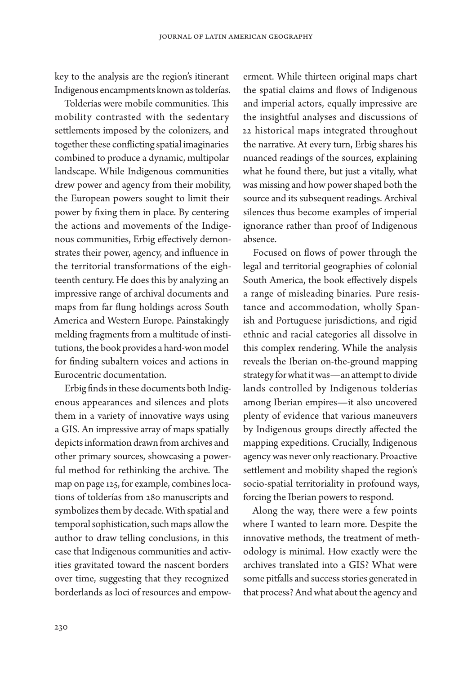key to the analysis are the region's itinerant Indigenous encampments known as tolderías.

Tolderías were mobile communities. This mobility contrasted with the sedentary setlements imposed by the colonizers, and together these conficting spatial imaginaries combined to produce a dynamic, multipolar landscape. While Indigenous communities drew power and agency from their mobility, the European powers sought to limit their power by fxing them in place. By centering the actions and movements of the Indigenous communities, Erbig efectively demonstrates their power, agency, and infuence in the territorial transformations of the eighteenth century. He does this by analyzing an impressive range of archival documents and maps from far fung holdings across South America and Western Europe. Painstakingly melding fragments from a multitude of institutions, the book provides a hard-won model for fnding subaltern voices and actions in Eurocentric documentation.

Erbig fnds in these documents both Indigenous appearances and silences and plots them in a variety of innovative ways using a GIS. An impressive array of maps spatially depicts information drawn from archives and other primary sources, showcasing a powerful method for rethinking the archive. The map on page 125, for example, combines locations of tolderías from 280 manuscripts and symbolizes them by decade. With spatial and temporal sophistication, such maps allow the author to draw telling conclusions, in this case that Indigenous communities and activities gravitated toward the nascent borders over time, suggesting that they recognized borderlands as loci of resources and empow-

erment. While thirteen original maps chart the spatial claims and flows of Indigenous and imperial actors, equally impressive are the insightful analyses and discussions of 22 historical maps integrated throughout the narrative. At every turn, Erbig shares his nuanced readings of the sources, explaining what he found there, but just a vitally, what was missing and how power shaped both the source and its subsequent readings. Archival silences thus become examples of imperial ignorance rather than proof of Indigenous absence.

Focused on flows of power through the legal and territorial geographies of colonial South America, the book efectively dispels a range of misleading binaries. Pure resistance and accommodation, wholly Spanish and Portuguese jurisdictions, and rigid ethnic and racial categories all dissolve in this complex rendering. While the analysis reveals the Iberian on-the-ground mapping strategy for what it was—an atempt to divide lands controlled by Indigenous tolderías among Iberian empires—it also uncovered plenty of evidence that various maneuvers by Indigenous groups directly afected the mapping expeditions. Crucially, Indigenous agency was never only reactionary. Proactive setlement and mobility shaped the region's socio-spatial territoriality in profound ways, forcing the Iberian powers to respond.

Along the way, there were a few points where I wanted to learn more. Despite the innovative methods, the treatment of methodology is minimal. How exactly were the archives translated into a GIS? What were some pitfalls and success stories generated in that process? And what about the agency and